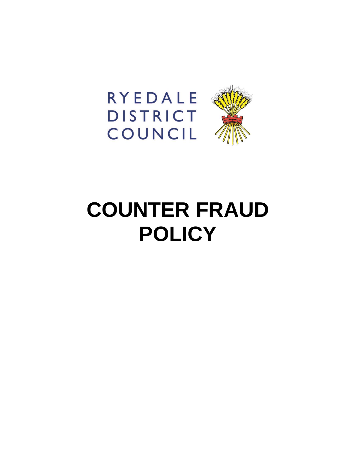



# **COUNTER FRAUD POLICY**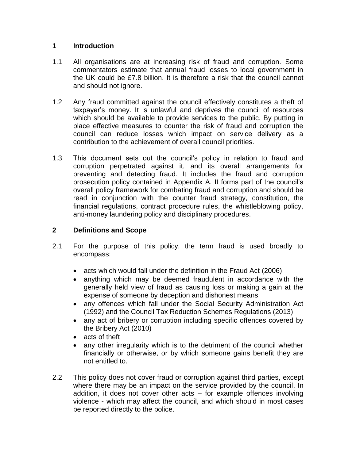## **1 Introduction**

- 1.1 All organisations are at increasing risk of fraud and corruption. Some commentators estimate that annual fraud losses to local government in the UK could be £7.8 billion. It is therefore a risk that the council cannot and should not ignore.
- 1.2 Any fraud committed against the council effectively constitutes a theft of taxpayer's money. It is unlawful and deprives the council of resources which should be available to provide services to the public. By putting in place effective measures to counter the risk of fraud and corruption the council can reduce losses which impact on service delivery as a contribution to the achievement of overall council priorities.
- 1.3 This document sets out the council's policy in relation to fraud and corruption perpetrated against it, and its overall arrangements for preventing and detecting fraud. It includes the fraud and corruption prosecution policy contained in Appendix A. It forms part of the council's overall policy framework for combating fraud and corruption and should be read in conjunction with the counter fraud strategy, constitution, the financial regulations, contract procedure rules, the whistleblowing policy, anti-money laundering policy and disciplinary procedures.

# **2 Definitions and Scope**

- 2.1 For the purpose of this policy, the term fraud is used broadly to encompass:
	- acts which would fall under the definition in the Fraud Act (2006)
	- anything which may be deemed fraudulent in accordance with the generally held view of fraud as causing loss or making a gain at the expense of someone by deception and dishonest means
	- any offences which fall under the Social Security Administration Act (1992) and the Council Tax Reduction Schemes Regulations (2013)
	- any act of bribery or corruption including specific offences covered by the Bribery Act (2010)
	- acts of theft
	- any other irregularity which is to the detriment of the council whether financially or otherwise, or by which someone gains benefit they are not entitled to.
- 2.2 This policy does not cover fraud or corruption against third parties, except where there may be an impact on the service provided by the council. In addition, it does not cover other acts – for example offences involving violence - which may affect the council, and which should in most cases be reported directly to the police.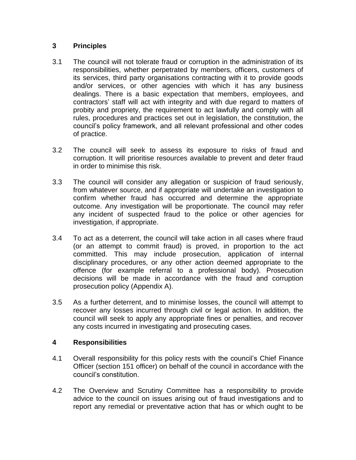## **3 Principles**

- 3.1 The council will not tolerate fraud or corruption in the administration of its responsibilities, whether perpetrated by members, officers, customers of its services, third party organisations contracting with it to provide goods and/or services, or other agencies with which it has any business dealings. There is a basic expectation that members, employees, and contractors' staff will act with integrity and with due regard to matters of probity and propriety, the requirement to act lawfully and comply with all rules, procedures and practices set out in legislation, the constitution, the council's policy framework, and all relevant professional and other codes of practice.
- 3.2 The council will seek to assess its exposure to risks of fraud and corruption. It will prioritise resources available to prevent and deter fraud in order to minimise this risk.
- 3.3 The council will consider any allegation or suspicion of fraud seriously, from whatever source, and if appropriate will undertake an investigation to confirm whether fraud has occurred and determine the appropriate outcome. Any investigation will be proportionate. The council may refer any incident of suspected fraud to the police or other agencies for investigation, if appropriate.
- 3.4 To act as a deterrent, the council will take action in all cases where fraud (or an attempt to commit fraud) is proved, in proportion to the act committed. This may include prosecution, application of internal disciplinary procedures, or any other action deemed appropriate to the offence (for example referral to a professional body). Prosecution decisions will be made in accordance with the fraud and corruption prosecution policy (Appendix A).
- 3.5 As a further deterrent, and to minimise losses, the council will attempt to recover any losses incurred through civil or legal action. In addition, the council will seek to apply any appropriate fines or penalties, and recover any costs incurred in investigating and prosecuting cases.

# **4 Responsibilities**

- 4.1 Overall responsibility for this policy rests with the council's Chief Finance Officer (section 151 officer) on behalf of the council in accordance with the council's constitution.
- 4.2 The Overview and Scrutiny Committee has a responsibility to provide advice to the council on issues arising out of fraud investigations and to report any remedial or preventative action that has or which ought to be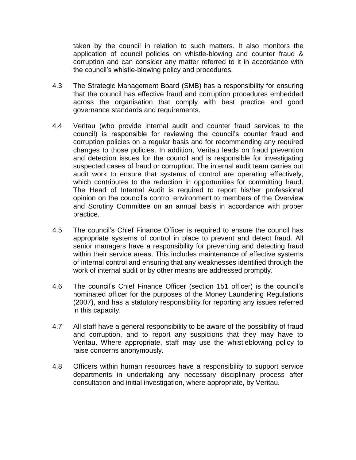taken by the council in relation to such matters. It also monitors the application of council policies on whistle-blowing and counter fraud & corruption and can consider any matter referred to it in accordance with the council's whistle-blowing policy and procedures.

- 4.3 The Strategic Management Board (SMB) has a responsibility for ensuring that the council has effective fraud and corruption procedures embedded across the organisation that comply with best practice and good governance standards and requirements.
- 4.4 Veritau (who provide internal audit and counter fraud services to the council) is responsible for reviewing the council's counter fraud and corruption policies on a regular basis and for recommending any required changes to those policies. In addition, Veritau leads on fraud prevention and detection issues for the council and is responsible for investigating suspected cases of fraud or corruption. The internal audit team carries out audit work to ensure that systems of control are operating effectively, which contributes to the reduction in opportunities for committing fraud. The Head of Internal Audit is required to report his/her professional opinion on the council's control environment to members of the Overview and Scrutiny Committee on an annual basis in accordance with proper practice.
- 4.5 The council's Chief Finance Officer is required to ensure the council has appropriate systems of control in place to prevent and detect fraud. All senior managers have a responsibility for preventing and detecting fraud within their service areas. This includes maintenance of effective systems of internal control and ensuring that any weaknesses identified through the work of internal audit or by other means are addressed promptly.
- 4.6 The council's Chief Finance Officer (section 151 officer) is the council's nominated officer for the purposes of the Money Laundering Regulations (2007), and has a statutory responsibility for reporting any issues referred in this capacity.
- 4.7 All staff have a general responsibility to be aware of the possibility of fraud and corruption, and to report any suspicions that they may have to Veritau. Where appropriate, staff may use the whistleblowing policy to raise concerns anonymously.
- 4.8 Officers within human resources have a responsibility to support service departments in undertaking any necessary disciplinary process after consultation and initial investigation, where appropriate, by Veritau.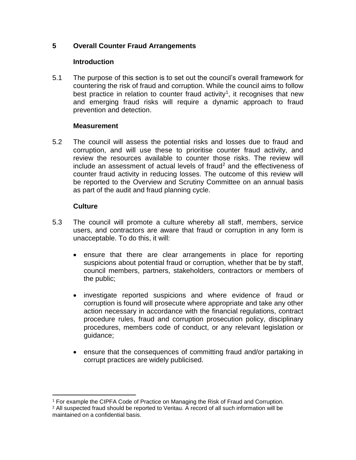## **5 Overall Counter Fraud Arrangements**

#### **Introduction**

5.1 The purpose of this section is to set out the council's overall framework for countering the risk of fraud and corruption. While the council aims to follow best practice in relation to counter fraud activity<sup>1</sup>, it recognises that new and emerging fraud risks will require a dynamic approach to fraud prevention and detection.

#### **Measurement**

5.2 The council will assess the potential risks and losses due to fraud and corruption, and will use these to prioritise counter fraud activity, and review the resources available to counter those risks. The review will include an assessment of actual levels of fraud<sup>2</sup> and the effectiveness of counter fraud activity in reducing losses. The outcome of this review will be reported to the Overview and Scrutiny Committee on an annual basis as part of the audit and fraud planning cycle.

## **Culture**

- 5.3 The council will promote a culture whereby all staff, members, service users, and contractors are aware that fraud or corruption in any form is unacceptable. To do this, it will:
	- ensure that there are clear arrangements in place for reporting suspicions about potential fraud or corruption, whether that be by staff, council members, partners, stakeholders, contractors or members of the public;
	- investigate reported suspicions and where evidence of fraud or corruption is found will prosecute where appropriate and take any other action necessary in accordance with the financial regulations, contract procedure rules, fraud and corruption prosecution policy, disciplinary procedures, members code of conduct, or any relevant legislation or guidance;
	- ensure that the consequences of committing fraud and/or partaking in corrupt practices are widely publicised.

 $\overline{a}$ <sup>1</sup> For example the CIPFA Code of Practice on Managing the Risk of Fraud and Corruption.

 $2$  All suspected fraud should be reported to Veritau. A record of all such information will be maintained on a confidential basis.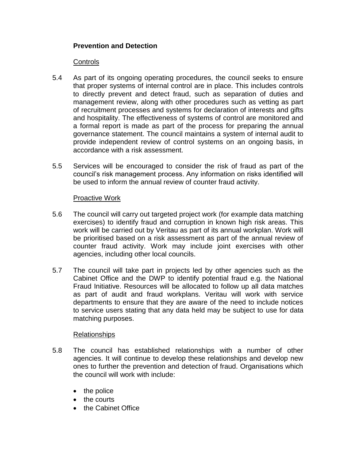## **Prevention and Detection**

#### Controls

- 5.4 As part of its ongoing operating procedures, the council seeks to ensure that proper systems of internal control are in place. This includes controls to directly prevent and detect fraud, such as separation of duties and management review, along with other procedures such as vetting as part of recruitment processes and systems for declaration of interests and gifts and hospitality. The effectiveness of systems of control are monitored and a formal report is made as part of the process for preparing the annual governance statement. The council maintains a system of internal audit to provide independent review of control systems on an ongoing basis, in accordance with a risk assessment.
- 5.5 Services will be encouraged to consider the risk of fraud as part of the council's risk management process. Any information on risks identified will be used to inform the annual review of counter fraud activity.

#### Proactive Work

- 5.6 The council will carry out targeted project work (for example data matching exercises) to identify fraud and corruption in known high risk areas. This work will be carried out by Veritau as part of its annual workplan. Work will be prioritised based on a risk assessment as part of the annual review of counter fraud activity. Work may include joint exercises with other agencies, including other local councils.
- 5.7 The council will take part in projects led by other agencies such as the Cabinet Office and the DWP to identify potential fraud e.g. the National Fraud Initiative. Resources will be allocated to follow up all data matches as part of audit and fraud workplans. Veritau will work with service departments to ensure that they are aware of the need to include notices to service users stating that any data held may be subject to use for data matching purposes.

#### Relationships

- 5.8 The council has established relationships with a number of other agencies. It will continue to develop these relationships and develop new ones to further the prevention and detection of fraud. Organisations which the council will work with include:
	- $\bullet$  the police
	- the courts
	- the Cabinet Office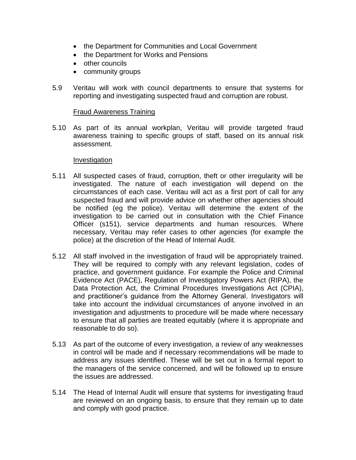- the Department for Communities and Local Government
- the Department for Works and Pensions
- other councils
- community groups
- 5.9 Veritau will work with council departments to ensure that systems for reporting and investigating suspected fraud and corruption are robust.

#### Fraud Awareness Training

5.10 As part of its annual workplan, Veritau will provide targeted fraud awareness training to specific groups of staff, based on its annual risk assessment.

#### Investigation

- 5.11 All suspected cases of fraud, corruption, theft or other irregularity will be investigated. The nature of each investigation will depend on the circumstances of each case. Veritau will act as a first port of call for any suspected fraud and will provide advice on whether other agencies should be notified (eg the police). Veritau will determine the extent of the investigation to be carried out in consultation with the Chief Finance Officer (s151), service departments and human resources. Where necessary, Veritau may refer cases to other agencies (for example the police) at the discretion of the Head of Internal Audit.
- 5.12 All staff involved in the investigation of fraud will be appropriately trained. They will be required to comply with any relevant legislation, codes of practice, and government guidance. For example the Police and Criminal Evidence Act (PACE), Regulation of Investigatory Powers Act (RIPA), the Data Protection Act, the Criminal Procedures Investigations Act (CPIA), and practitioner's guidance from the Attorney General. Investigators will take into account the individual circumstances of anyone involved in an investigation and adjustments to procedure will be made where necessary to ensure that all parties are treated equitably (where it is appropriate and reasonable to do so).
- 5.13 As part of the outcome of every investigation, a review of any weaknesses in control will be made and if necessary recommendations will be made to address any issues identified. These will be set out in a formal report to the managers of the service concerned, and will be followed up to ensure the issues are addressed.
- 5.14 The Head of Internal Audit will ensure that systems for investigating fraud are reviewed on an ongoing basis, to ensure that they remain up to date and comply with good practice.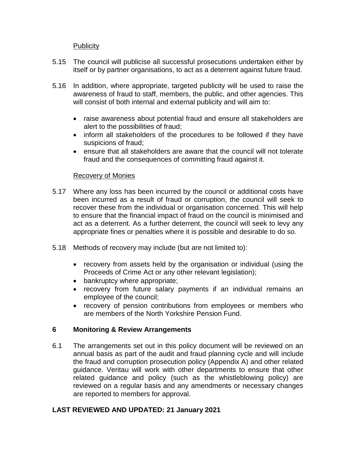## **Publicity**

- 5.15 The council will publicise all successful prosecutions undertaken either by itself or by partner organisations, to act as a deterrent against future fraud.
- 5.16 In addition, where appropriate, targeted publicity will be used to raise the awareness of fraud to staff, members, the public, and other agencies. This will consist of both internal and external publicity and will aim to:
	- raise awareness about potential fraud and ensure all stakeholders are alert to the possibilities of fraud;
	- inform all stakeholders of the procedures to be followed if they have suspicions of fraud;
	- ensure that all stakeholders are aware that the council will not tolerate fraud and the consequences of committing fraud against it.

#### Recovery of Monies

- 5.17 Where any loss has been incurred by the council or additional costs have been incurred as a result of fraud or corruption, the council will seek to recover these from the individual or organisation concerned. This will help to ensure that the financial impact of fraud on the council is minimised and act as a deterrent. As a further deterrent, the council will seek to levy any appropriate fines or penalties where it is possible and desirable to do so.
- 5.18 Methods of recovery may include (but are not limited to):
	- recovery from assets held by the organisation or individual (using the Proceeds of Crime Act or any other relevant legislation);
	- bankruptcy where appropriate;
	- recovery from future salary payments if an individual remains an employee of the council;
	- recovery of pension contributions from employees or members who are members of the North Yorkshire Pension Fund.

# **6 Monitoring & Review Arrangements**

6.1 The arrangements set out in this policy document will be reviewed on an annual basis as part of the audit and fraud planning cycle and will include the fraud and corruption prosecution policy (Appendix A) and other related guidance. Veritau will work with other departments to ensure that other related guidance and policy (such as the whistleblowing policy) are reviewed on a regular basis and any amendments or necessary changes are reported to members for approval.

# **LAST REVIEWED AND UPDATED: 21 January 2021**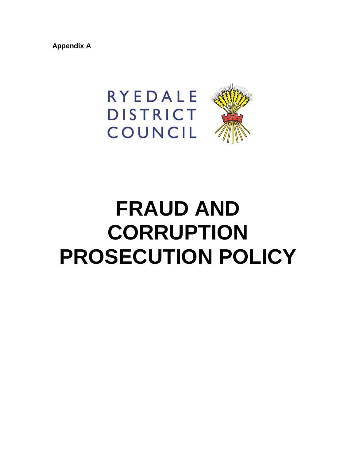**Appendix A**



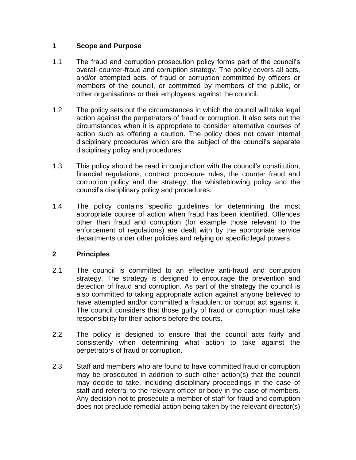## **1 Scope and Purpose**

- 1.1 The fraud and corruption prosecution policy forms part of the council's overall counter-fraud and corruption strategy. The policy covers all acts, and/or attempted acts, of fraud or corruption committed by officers or members of the council, or committed by members of the public, or other organisations or their employees, against the council.
- 1.2 The policy sets out the circumstances in which the council will take legal action against the perpetrators of fraud or corruption. It also sets out the circumstances when it is appropriate to consider alternative courses of action such as offering a caution. The policy does not cover internal disciplinary procedures which are the subject of the council's separate disciplinary policy and procedures.
- 1.3 This policy should be read in conjunction with the council's constitution, financial regulations, contract procedure rules, the counter fraud and corruption policy and the strategy, the whistleblowing policy and the council's disciplinary policy and procedures.
- 1.4 The policy contains specific guidelines for determining the most appropriate course of action when fraud has been identified. Offences other than fraud and corruption (for example those relevant to the enforcement of regulations) are dealt with by the appropriate service departments under other policies and relying on specific legal powers.

# **2 Principles**

- 2.1 The council is committed to an effective anti-fraud and corruption strategy. The strategy is designed to encourage the prevention and detection of fraud and corruption. As part of the strategy the council is also committed to taking appropriate action against anyone believed to have attempted and/or committed a fraudulent or corrupt act against it. The council considers that those guilty of fraud or corruption must take responsibility for their actions before the courts.
- 2.2 The policy is designed to ensure that the council acts fairly and consistently when determining what action to take against the perpetrators of fraud or corruption.
- 2.3 Staff and members who are found to have committed fraud or corruption may be prosecuted in addition to such other action(s) that the council may decide to take, including disciplinary proceedings in the case of staff and referral to the relevant officer or body in the case of members. Any decision not to prosecute a member of staff for fraud and corruption does not preclude remedial action being taken by the relevant director(s)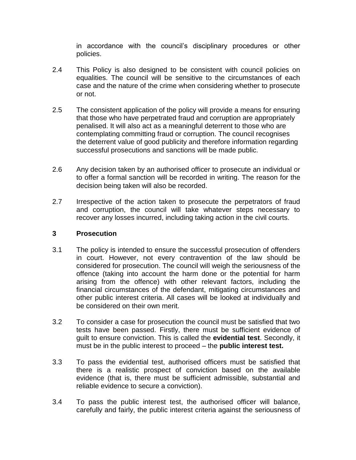in accordance with the council's disciplinary procedures or other policies.

- 2.4 This Policy is also designed to be consistent with council policies on equalities. The council will be sensitive to the circumstances of each case and the nature of the crime when considering whether to prosecute or not.
- 2.5 The consistent application of the policy will provide a means for ensuring that those who have perpetrated fraud and corruption are appropriately penalised. It will also act as a meaningful deterrent to those who are contemplating committing fraud or corruption. The council recognises the deterrent value of good publicity and therefore information regarding successful prosecutions and sanctions will be made public.
- 2.6 Any decision taken by an authorised officer to prosecute an individual or to offer a formal sanction will be recorded in writing. The reason for the decision being taken will also be recorded.
- 2.7 Irrespective of the action taken to prosecute the perpetrators of fraud and corruption, the council will take whatever steps necessary to recover any losses incurred, including taking action in the civil courts.

#### **3 Prosecution**

- 3.1 The policy is intended to ensure the successful prosecution of offenders in court. However, not every contravention of the law should be considered for prosecution. The council will weigh the seriousness of the offence (taking into account the harm done or the potential for harm arising from the offence) with other relevant factors, including the financial circumstances of the defendant, mitigating circumstances and other public interest criteria. All cases will be looked at individually and be considered on their own merit.
- 3.2 To consider a case for prosecution the council must be satisfied that two tests have been passed. Firstly, there must be sufficient evidence of guilt to ensure conviction. This is called the **evidential test**. Secondly, it must be in the public interest to proceed – the **public interest test.**
- 3.3 To pass the evidential test, authorised officers must be satisfied that there is a realistic prospect of conviction based on the available evidence (that is, there must be sufficient admissible, substantial and reliable evidence to secure a conviction).
- 3.4 To pass the public interest test, the authorised officer will balance, carefully and fairly, the public interest criteria against the seriousness of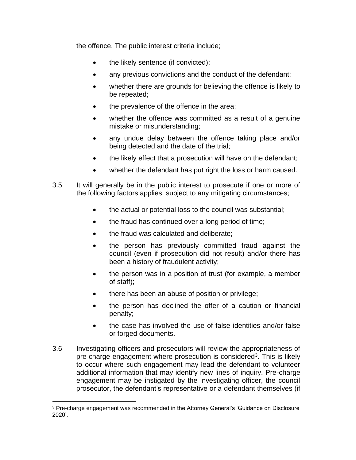the offence. The public interest criteria include;

- the likely sentence (if convicted);
- any previous convictions and the conduct of the defendant;
- whether there are grounds for believing the offence is likely to be repeated;
- the prevalence of the offence in the area;
- whether the offence was committed as a result of a genuine mistake or misunderstanding;
- any undue delay between the offence taking place and/or being detected and the date of the trial;
- the likely effect that a prosecution will have on the defendant;
- whether the defendant has put right the loss or harm caused.
- 3.5 It will generally be in the public interest to prosecute if one or more of the following factors applies, subject to any mitigating circumstances;
	- the actual or potential loss to the council was substantial;
	- the fraud has continued over a long period of time;
	- the fraud was calculated and deliberate;
	- the person has previously committed fraud against the council (even if prosecution did not result) and/or there has been a history of fraudulent activity;
	- the person was in a position of trust (for example, a member of staff);
	- there has been an abuse of position or privilege;
	- the person has declined the offer of a caution or financial penalty;
	- the case has involved the use of false identities and/or false or forged documents.
- 3.6 Investigating officers and prosecutors will review the appropriateness of pre-charge engagement where prosecution is considered<sup>3</sup>. This is likely to occur where such engagement may lead the defendant to volunteer additional information that may identify new lines of inquiry. Pre-charge engagement may be instigated by the investigating officer, the council prosecutor, the defendant's representative or a defendant themselves (if

 $\overline{a}$ 

<sup>&</sup>lt;sup>3</sup> Pre-charge engagement was recommended in the Attorney General's 'Guidance on Disclosure 2020'.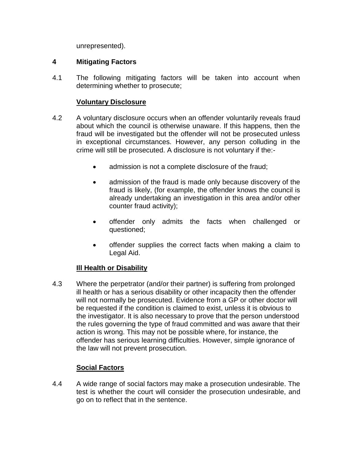unrepresented).

## **4 Mitigating Factors**

4.1 The following mitigating factors will be taken into account when determining whether to prosecute;

## **Voluntary Disclosure**

- 4.2 A voluntary disclosure occurs when an offender voluntarily reveals fraud about which the council is otherwise unaware. If this happens, then the fraud will be investigated but the offender will not be prosecuted unless in exceptional circumstances. However, any person colluding in the crime will still be prosecuted. A disclosure is not voluntary if the:-
	- admission is not a complete disclosure of the fraud;
	- admission of the fraud is made only because discovery of the fraud is likely, (for example, the offender knows the council is already undertaking an investigation in this area and/or other counter fraud activity);
	- offender only admits the facts when challenged or questioned;
	- offender supplies the correct facts when making a claim to Legal Aid.

#### **Ill Health or Disability**

4.3 Where the perpetrator (and/or their partner) is suffering from prolonged ill health or has a serious disability or other incapacity then the offender will not normally be prosecuted. Evidence from a GP or other doctor will be requested if the condition is claimed to exist, unless it is obvious to the investigator. It is also necessary to prove that the person understood the rules governing the type of fraud committed and was aware that their action is wrong. This may not be possible where, for instance, the offender has serious learning difficulties. However, simple ignorance of the law will not prevent prosecution.

# **Social Factors**

4.4 A wide range of social factors may make a prosecution undesirable. The test is whether the court will consider the prosecution undesirable, and go on to reflect that in the sentence.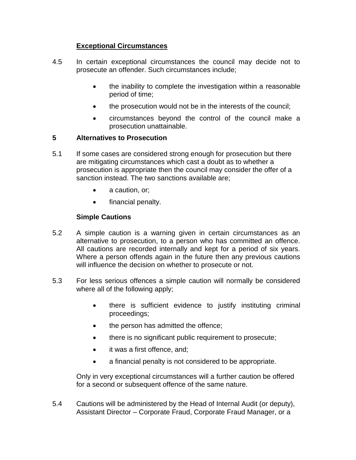# **Exceptional Circumstances**

- 4.5 In certain exceptional circumstances the council may decide not to prosecute an offender. Such circumstances include;
	- the inability to complete the investigation within a reasonable period of time;
	- the prosecution would not be in the interests of the council;
	- circumstances beyond the control of the council make a prosecution unattainable.

#### **5 Alternatives to Prosecution**

- 5.1 If some cases are considered strong enough for prosecution but there are mitigating circumstances which cast a doubt as to whether a prosecution is appropriate then the council may consider the offer of a sanction instead. The two sanctions available are;
	- a caution, or;
	- financial penalty.

## **Simple Cautions**

- 5.2 A simple caution is a warning given in certain circumstances as an alternative to prosecution, to a person who has committed an offence. All cautions are recorded internally and kept for a period of six years. Where a person offends again in the future then any previous cautions will influence the decision on whether to prosecute or not.
- 5.3 For less serious offences a simple caution will normally be considered where all of the following apply;
	- there is sufficient evidence to justify instituting criminal proceedings;
	- the person has admitted the offence;
	- there is no significant public requirement to prosecute;
	- it was a first offence, and;
	- a financial penalty is not considered to be appropriate.

Only in very exceptional circumstances will a further caution be offered for a second or subsequent offence of the same nature.

5.4 Cautions will be administered by the Head of Internal Audit (or deputy), Assistant Director – Corporate Fraud, Corporate Fraud Manager, or a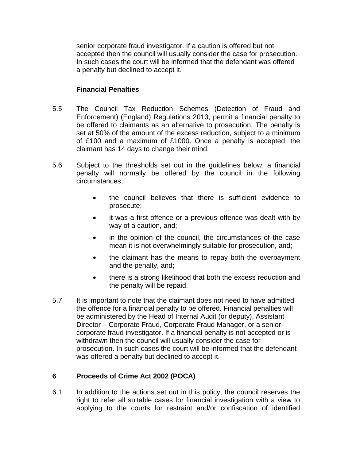senior corporate fraud investigator. If a caution is offered but not accepted then the council will usually consider the case for prosecution. In such cases the court will be informed that the defendant was offered a penalty but declined to accept it.

## **Financial Penalties**

- 5.5 The Council Tax Reduction Schemes (Detection of Fraud and Enforcement) (England) Regulations 2013, permit a financial penalty to be offered to claimants as an alternative to prosecution. The penalty is set at 50% of the amount of the excess reduction, subject to a minimum of £100 and a maximum of £1000. Once a penalty is accepted, the claimant has 14 days to change their mind.
- 5.6 Subject to the thresholds set out in the guidelines below, a financial penalty will normally be offered by the council in the following circumstances;
	- the council believes that there is sufficient evidence to prosecute;
	- it was a first offence or a previous offence was dealt with by way of a caution, and;
	- in the opinion of the council, the circumstances of the case mean it is not overwhelmingly suitable for prosecution, and;
	- the claimant has the means to repay both the overpayment and the penalty, and;
	- there is a strong likelihood that both the excess reduction and the penalty will be repaid.
- 5.7 It is important to note that the claimant does not need to have admitted the offence for a financial penalty to be offered. Financial penalties will be administered by the Head of Internal Audit (or deputy), Assistant Director – Corporate Fraud, Corporate Fraud Manager, or a senior corporate fraud investigator. If a financial penalty is not accepted or is withdrawn then the council will usually consider the case for prosecution. In such cases the court will be informed that the defendant was offered a penalty but declined to accept it.

# **6 Proceeds of Crime Act 2002 (POCA)**

6.1 In addition to the actions set out in this policy, the council reserves the right to refer all suitable cases for financial investigation with a view to applying to the courts for restraint and/or confiscation of identified